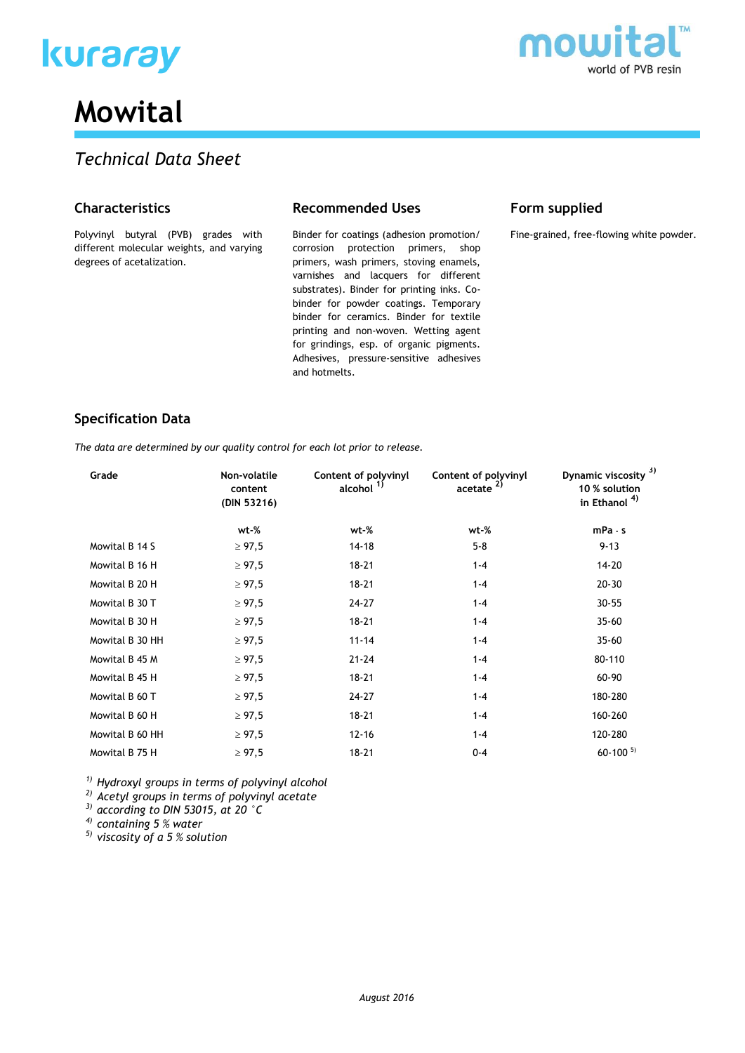



# **Mowital**

# *Technical Data Sheet*

# **Characteristics**

Polyvinyl butyral (PVB) grades with different molecular weights, and varying degrees of acetalization.

## **Recommended Uses**

Binder for coatings (adhesion promotion/ corrosion protection primers, shop primers, wash primers, stoving enamels, varnishes and lacquers for different substrates). Binder for printing inks. Cobinder for powder coatings. Temporary binder for ceramics. Binder for textile printing and non-woven. Wetting agent for grindings, esp. of organic pigments. Adhesives, pressure-sensitive adhesives and hotmelts.

# **Form supplied**

Fine-grained, free-flowing white powder.

# **Specification Data**

*The data are determined by our quality control for each lot prior to release.*

| Grade           | Non-volatile<br>content<br>(DIN 53216) | Content of polyvinyl<br>alcohol <sup>1)</sup> | Content of polyvinyl<br>accelate <sup>2</sup> | Dynamic viscosity <sup>3)</sup><br>10 % solution<br>in Ethanol <sup>4)</sup> |
|-----------------|----------------------------------------|-----------------------------------------------|-----------------------------------------------|------------------------------------------------------------------------------|
|                 | wt-%                                   | wt-%                                          | wt-%                                          | mPa·s                                                                        |
| Mowital B 14 S  | $\geq 97,5$                            | 14-18                                         | $5 - 8$                                       | $9 - 13$                                                                     |
| Mowital B 16 H  | $\geq 97,5$                            | $18 - 21$                                     | $1 - 4$                                       | $14 - 20$                                                                    |
| Mowital B 20 H  | $\geq 97,5$                            | $18 - 21$                                     | $1 - 4$                                       | $20 - 30$                                                                    |
| Mowital B 30 T  | $\geq 97,5$                            | 24-27                                         | $1 - 4$                                       | $30 - 55$                                                                    |
| Mowital B 30 H  | $\geq 97.5$                            | $18 - 21$                                     | $1 - 4$                                       | $35 - 60$                                                                    |
| Mowital B 30 HH | $\geq 97,5$                            | $11 - 14$                                     | $1 - 4$                                       | $35 - 60$                                                                    |
| Mowital B 45 M  | $\geq 97,5$                            | $21 - 24$                                     | $1 - 4$                                       | 80-110                                                                       |
| Mowital B 45 H  | $\geq 97,5$                            | $18 - 21$                                     | $1 - 4$                                       | 60-90                                                                        |
| Mowital B 60 T  | $\geq 97,5$                            | 24-27                                         | $1 - 4$                                       | 180-280                                                                      |
| Mowital B 60 H  | $\geq 97,5$                            | $18 - 21$                                     | $1 - 4$                                       | 160-260                                                                      |
| Mowital B 60 HH | $\geq 97,5$                            | $12 - 16$                                     | $1 - 4$                                       | 120-280                                                                      |
| Mowital B 75 H  | $\geq 97,5$                            | $18 - 21$                                     | $0 - 4$                                       | $60 - 100$ <sup>5)</sup>                                                     |
|                 |                                        |                                               |                                               |                                                                              |

*1) Hydroxyl groups in terms of polyvinyl alcohol*

*2) Acetyl groups in terms of polyvinyl acetate*

*3) according to DIN 53015, at 20 °C*

*4) containing 5 % water*

*5) viscosity of a 5 % solution*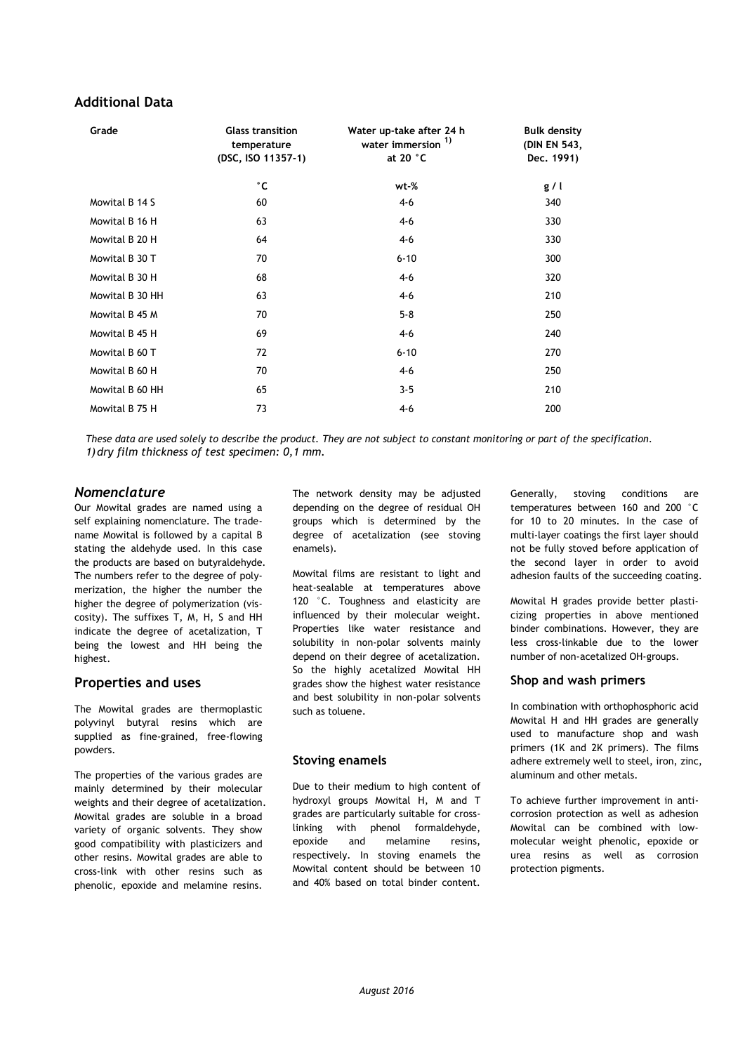# **Additional Data**

| Grade           | <b>Glass transition</b><br>temperature<br>(DSC, ISO 11357-1) | Water up-take after 24 h<br>water immersion <sup>1)</sup><br>at 20 $\degree$ C | <b>Bulk density</b><br>(DIN EN 543,<br>Dec. 1991) |
|-----------------|--------------------------------------------------------------|--------------------------------------------------------------------------------|---------------------------------------------------|
|                 | °C                                                           | wt-%                                                                           | g/l                                               |
| Mowital B 14 S  | 60                                                           | $4-6$                                                                          | 340                                               |
| Mowital B 16 H  | 63                                                           | $4-6$                                                                          | 330                                               |
| Mowital B 20 H  | 64                                                           | $4-6$                                                                          | 330                                               |
| Mowital B 30 T  | 70                                                           | $6 - 10$                                                                       | 300                                               |
| Mowital B 30 H  | 68                                                           | $4-6$                                                                          | 320                                               |
| Mowital B 30 HH | 63                                                           | $4-6$                                                                          | 210                                               |
| Mowital B 45 M  | 70                                                           | $5 - 8$                                                                        | 250                                               |
| Mowital B 45 H  | 69                                                           | $4-6$                                                                          | 240                                               |
| Mowital B 60 T  | 72                                                           | $6 - 10$                                                                       | 270                                               |
| Mowital B 60 H  | 70                                                           | $4-6$                                                                          | 250                                               |
| Mowital B 60 HH | 65                                                           | $3 - 5$                                                                        | 210                                               |
| Mowital B 75 H  | 73                                                           | $4 - 6$                                                                        | 200                                               |

*These data are used solely to describe the product. They are not subject to constant monitoring or part of the specification. 1)dry film thickness of test specimen: 0,1 mm.*

#### *Nomenclature*

Our Mowital grades are named using a self explaining nomenclature. The tradename Mowital is followed by a capital B stating the aldehyde used. In this case the products are based on butyraldehyde. The numbers refer to the degree of polymerization, the higher the number the higher the degree of polymerization (viscosity). The suffixes T, M, H, S and HH indicate the degree of acetalization, T being the lowest and HH being the highest.

#### **Properties and uses**

The Mowital grades are thermoplastic polyvinyl butyral resins which are supplied as fine-grained, free-flowing powders.

The properties of the various grades are mainly determined by their molecular weights and their degree of acetalization. Mowital grades are soluble in a broad variety of organic solvents. They show good compatibility with plasticizers and other resins. Mowital grades are able to cross-link with other resins such as phenolic, epoxide and melamine resins.

The network density may be adjusted depending on the degree of residual OH groups which is determined by the degree of acetalization (see stoving enamels).

Mowital films are resistant to light and heat-sealable at temperatures above 120 °C. Toughness and elasticity are influenced by their molecular weight. Properties like water resistance and solubility in non-polar solvents mainly depend on their degree of acetalization. So the highly acetalized Mowital HH grades show the highest water resistance and best solubility in non-polar solvents such as toluene.

#### **Stoving enamels**

Due to their medium to high content of hydroxyl groups Mowital H, M and T grades are particularly suitable for crosslinking with phenol formaldehyde, epoxide and melamine resins, respectively. In stoving enamels the Mowital content should be between 10 and 40% based on total binder content.

Generally, stoving conditions are temperatures between 160 and 200 °C for 10 to 20 minutes. In the case of multi-layer coatings the first layer should not be fully stoved before application of the second layer in order to avoid adhesion faults of the succeeding coating.

Mowital H grades provide better plasticizing properties in above mentioned binder combinations. However, they are less cross-linkable due to the lower number of non-acetalized OH-groups.

#### **Shop and wash primers**

In combination with orthophosphoric acid Mowital H and HH grades are generally used to manufacture shop and wash primers (1K and 2K primers). The films adhere extremely well to steel, iron, zinc, aluminum and other metals.

To achieve further improvement in anticorrosion protection as well as adhesion Mowital can be combined with lowmolecular weight phenolic, epoxide or urea resins as well as corrosion protection pigments.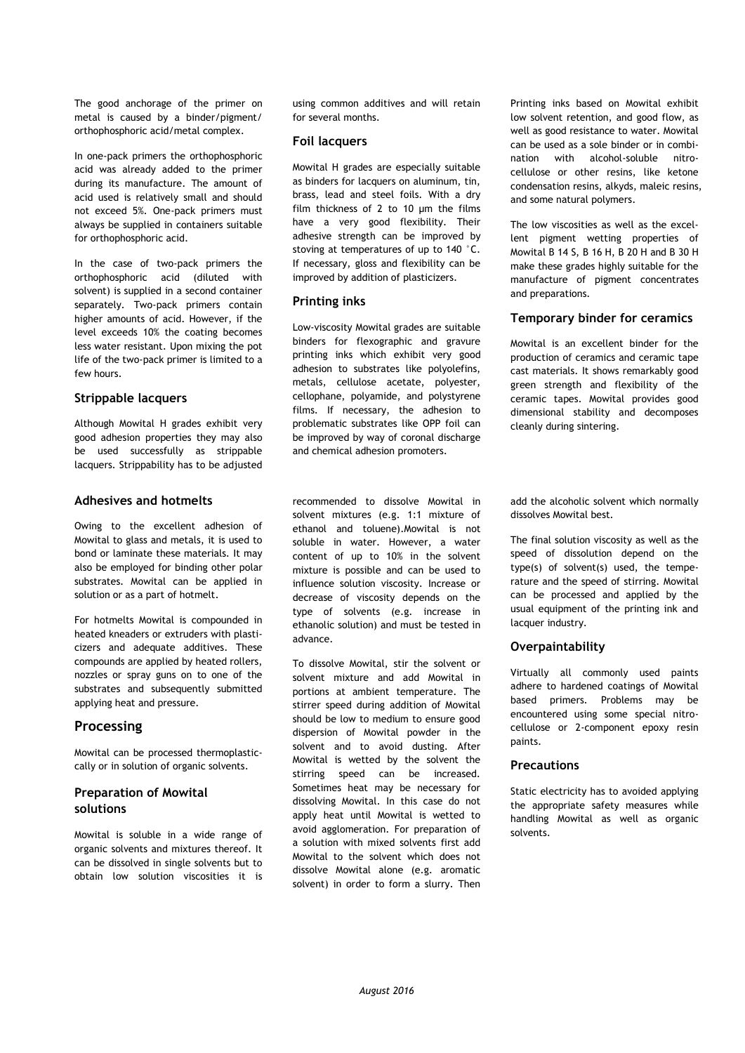The good anchorage of the primer on metal is caused by a binder/pigment/ orthophosphoric acid/metal complex.

In one-pack primers the orthophosphoric acid was already added to the primer during its manufacture. The amount of acid used is relatively small and should not exceed 5%. One-pack primers must always be supplied in containers suitable for orthophosphoric acid.

In the case of two-pack primers the orthophosphoric acid (diluted with solvent) is supplied in a second container separately. Two-pack primers contain higher amounts of acid. However, if the level exceeds 10% the coating becomes less water resistant. Upon mixing the pot life of the two-pack primer is limited to a few hours.

#### **Strippable lacquers**

Although Mowital H grades exhibit very good adhesion properties they may also be used successfully as strippable lacquers. Strippability has to be adjusted

#### **Adhesives and hotmelts**

Owing to the excellent adhesion of Mowital to glass and metals, it is used to bond or laminate these materials. It may also be employed for binding other polar substrates. Mowital can be applied in solution or as a part of hotmelt.

For hotmelts Mowital is compounded in heated kneaders or extruders with plasticizers and adequate additives. These compounds are applied by heated rollers, nozzles or spray guns on to one of the substrates and subsequently submitted applying heat and pressure.

# **Processing**

Mowital can be processed thermoplasticcally or in solution of organic solvents.

## **Preparation of Mowital solutions**

Mowital is soluble in a wide range of organic solvents and mixtures thereof. It can be dissolved in single solvents but to obtain low solution viscosities it is

using common additives and will retain for several months.

#### **Foil lacquers**

Mowital H grades are especially suitable as binders for lacquers on aluminum, tin, brass, lead and steel foils. With a dry film thickness of 2 to 10 µm the films have a very good flexibility. Their adhesive strength can be improved by stoving at temperatures of up to 140 °C. If necessary, gloss and flexibility can be improved by addition of plasticizers.

#### **Printing inks**

Low-viscosity Mowital grades are suitable binders for flexographic and gravure printing inks which exhibit very good adhesion to substrates like polyolefins, metals, cellulose acetate, polyester, cellophane, polyamide, and polystyrene films. If necessary, the adhesion to problematic substrates like OPP foil can be improved by way of coronal discharge and chemical adhesion promoters.

recommended to dissolve Mowital in solvent mixtures (e.g. 1:1 mixture of ethanol and toluene).Mowital is not soluble in water. However, a water content of up to 10% in the solvent mixture is possible and can be used to influence solution viscosity. Increase or decrease of viscosity depends on the type of solvents (e.g. increase in ethanolic solution) and must be tested in advance.

To dissolve Mowital, stir the solvent or solvent mixture and add Mowital in portions at ambient temperature. The stirrer speed during addition of Mowital should be low to medium to ensure good dispersion of Mowital powder in the solvent and to avoid dusting. After Mowital is wetted by the solvent the stirring speed can be increased. Sometimes heat may be necessary for dissolving Mowital. In this case do not apply heat until Mowital is wetted to avoid agglomeration. For preparation of a solution with mixed solvents first add Mowital to the solvent which does not dissolve Mowital alone (e.g. aromatic solvent) in order to form a slurry. Then

Printing inks based on Mowital exhibit low solvent retention, and good flow, as well as good resistance to water. Mowital can be used as a sole binder or in combination with alcohol-soluble nitrocellulose or other resins, like ketone condensation resins, alkyds, maleic resins, and some natural polymers.

The low viscosities as well as the excellent pigment wetting properties of Mowital B 14 S, B 16 H, B 20 H and B 30 H make these grades highly suitable for the manufacture of pigment concentrates and preparations.

#### **Temporary binder for ceramics**

Mowital is an excellent binder for the production of ceramics and ceramic tape cast materials. It shows remarkably good green strength and flexibility of the ceramic tapes. Mowital provides good dimensional stability and decomposes cleanly during sintering.

add the alcoholic solvent which normally dissolves Mowital best.

The final solution viscosity as well as the speed of dissolution depend on the type(s) of solvent(s) used, the temperature and the speed of stirring. Mowital can be processed and applied by the usual equipment of the printing ink and lacquer industry.

#### **Overpaintability**

Virtually all commonly used paints adhere to hardened coatings of Mowital based primers. Problems may be encountered using some special nitrocellulose or 2-component epoxy resin paints.

#### **Precautions**

Static electricity has to avoided applying the appropriate safety measures while handling Mowital as well as organic solvents.